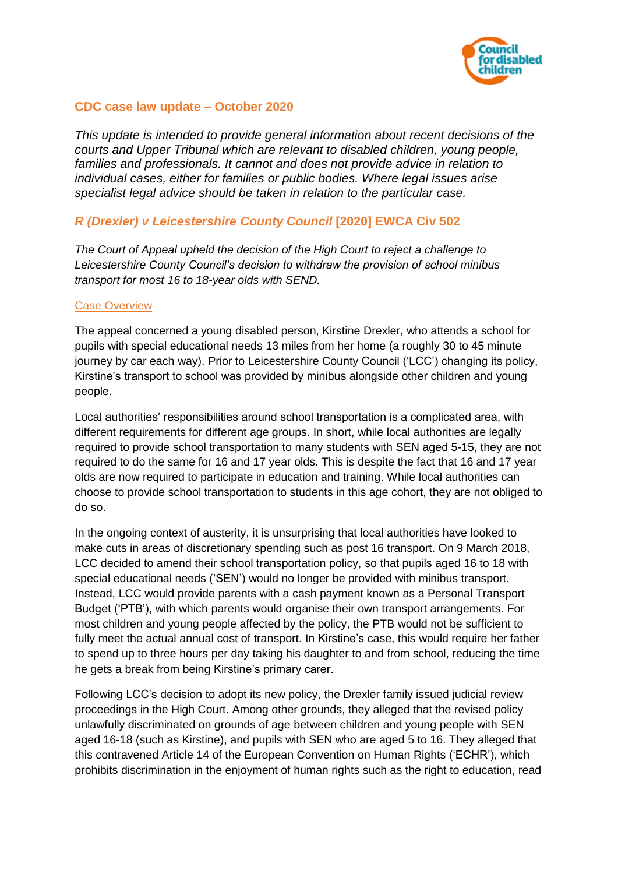

## **CDC case law update – October 2020**

*This update is intended to provide general information about recent decisions of the courts and Upper Tribunal which are relevant to disabled children, young people, families and professionals. It cannot and does not provide advice in relation to individual cases, either for families or public bodies. Where legal issues arise specialist legal advice should be taken in relation to the particular case.*

# *R (Drexler) v Leicestershire County Council* **[2020] EWCA Civ 502**

*The Court of Appeal upheld the decision of the High Court to reject a challenge to Leicestershire County Council's decision to withdraw the provision of school minibus transport for most 16 to 18-year olds with SEND.* 

#### Case Overview

The appeal concerned a young disabled person, Kirstine Drexler, who attends a school for pupils with special educational needs 13 miles from her home (a roughly 30 to 45 minute journey by car each way). Prior to Leicestershire County Council ('LCC') changing its policy, Kirstine's transport to school was provided by minibus alongside other children and young people.

Local authorities' responsibilities around school transportation is a complicated area, with different requirements for different age groups. In short, while local authorities are legally required to provide school transportation to many students with SEN aged 5-15, they are not required to do the same for 16 and 17 year olds. This is despite the fact that 16 and 17 year olds are now required to participate in education and training. While local authorities can choose to provide school transportation to students in this age cohort, they are not obliged to do so.

In the ongoing context of austerity, it is unsurprising that local authorities have looked to make cuts in areas of discretionary spending such as post 16 transport. On 9 March 2018, LCC decided to amend their school transportation policy, so that pupils aged 16 to 18 with special educational needs ('SEN') would no longer be provided with minibus transport. Instead, LCC would provide parents with a cash payment known as a Personal Transport Budget ('PTB'), with which parents would organise their own transport arrangements. For most children and young people affected by the policy, the PTB would not be sufficient to fully meet the actual annual cost of transport. In Kirstine's case, this would require her father to spend up to three hours per day taking his daughter to and from school, reducing the time he gets a break from being Kirstine's primary carer.

Following LCC's decision to adopt its new policy, the Drexler family issued judicial review proceedings in the High Court. Among other grounds, they alleged that the revised policy unlawfully discriminated on grounds of age between children and young people with SEN aged 16-18 (such as Kirstine), and pupils with SEN who are aged 5 to 16. They alleged that this contravened Article 14 of the European Convention on Human Rights ('ECHR'), which prohibits discrimination in the enjoyment of human rights such as the right to education, read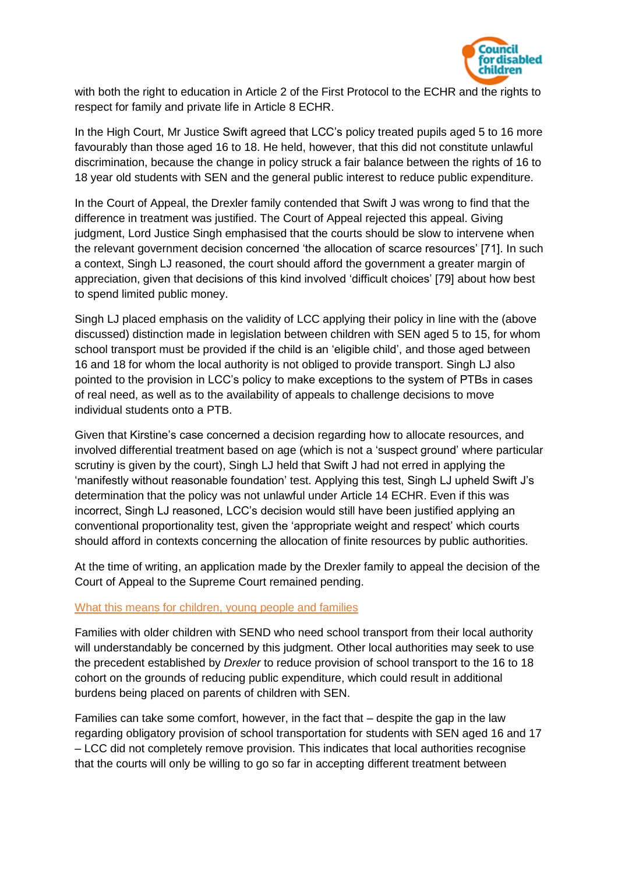

with both the right to education in Article 2 of the First Protocol to the ECHR and the rights to respect for family and private life in Article 8 ECHR.

In the High Court, Mr Justice Swift agreed that LCC's policy treated pupils aged 5 to 16 more favourably than those aged 16 to 18. He held, however, that this did not constitute unlawful discrimination, because the change in policy struck a fair balance between the rights of 16 to 18 year old students with SEN and the general public interest to reduce public expenditure.

In the Court of Appeal, the Drexler family contended that Swift J was wrong to find that the difference in treatment was justified. The Court of Appeal rejected this appeal. Giving judgment, Lord Justice Singh emphasised that the courts should be slow to intervene when the relevant government decision concerned 'the allocation of scarce resources' [71]. In such a context, Singh LJ reasoned, the court should afford the government a greater margin of appreciation, given that decisions of this kind involved 'difficult choices' [79] about how best to spend limited public money.

Singh LJ placed emphasis on the validity of LCC applying their policy in line with the (above discussed) distinction made in legislation between children with SEN aged 5 to 15, for whom school transport must be provided if the child is an 'eligible child', and those aged between 16 and 18 for whom the local authority is not obliged to provide transport. Singh LJ also pointed to the provision in LCC's policy to make exceptions to the system of PTBs in cases of real need, as well as to the availability of appeals to challenge decisions to move individual students onto a PTB.

Given that Kirstine's case concerned a decision regarding how to allocate resources, and involved differential treatment based on age (which is not a 'suspect ground' where particular scrutiny is given by the court), Singh LJ held that Swift J had not erred in applying the 'manifestly without reasonable foundation' test. Applying this test, Singh LJ upheld Swift J's determination that the policy was not unlawful under Article 14 ECHR. Even if this was incorrect, Singh LJ reasoned, LCC's decision would still have been justified applying an conventional proportionality test, given the 'appropriate weight and respect' which courts should afford in contexts concerning the allocation of finite resources by public authorities.

At the time of writing, an application made by the Drexler family to appeal the decision of the Court of Appeal to the Supreme Court remained pending.

### What this means for children, young people and families

Families with older children with SEND who need school transport from their local authority will understandably be concerned by this judgment. Other local authorities may seek to use the precedent established by *Drexler* to reduce provision of school transport to the 16 to 18 cohort on the grounds of reducing public expenditure, which could result in additional burdens being placed on parents of children with SEN.

Families can take some comfort, however, in the fact that – despite the gap in the law regarding obligatory provision of school transportation for students with SEN aged 16 and 17 – LCC did not completely remove provision. This indicates that local authorities recognise that the courts will only be willing to go so far in accepting different treatment between